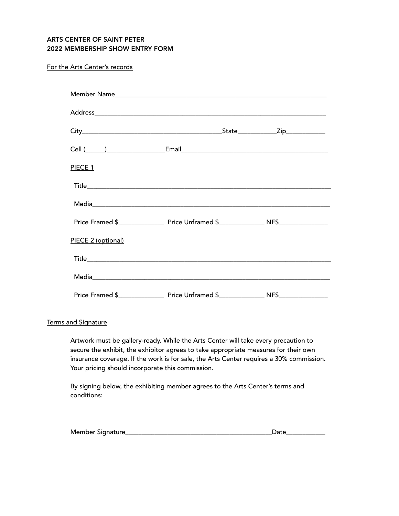## ARTS CENTER OF SAINT PETER 2022 MEMBERSHIP SHOW ENTRY FORM

## For the Arts Center's records

| PIECE 1            |            |
|--------------------|------------|
|                    |            |
|                    |            |
|                    |            |
| PIECE 2 (optional) |            |
|                    |            |
|                    |            |
|                    | <b>NFS</b> |

## Terms and Signature

Artwork must be gallery-ready. While the Arts Center will take every precaution to secure the exhibit, the exhibitor agrees to take appropriate measures for their own insurance coverage. If the work is for sale, the Arts Center requires a 30% commission. Your pricing should incorporate this commission.

By signing below, the exhibiting member agrees to the Arts Center's terms and conditions:

| Me<br>$ + $<br>חמור<br>nner |  |
|-----------------------------|--|
|                             |  |